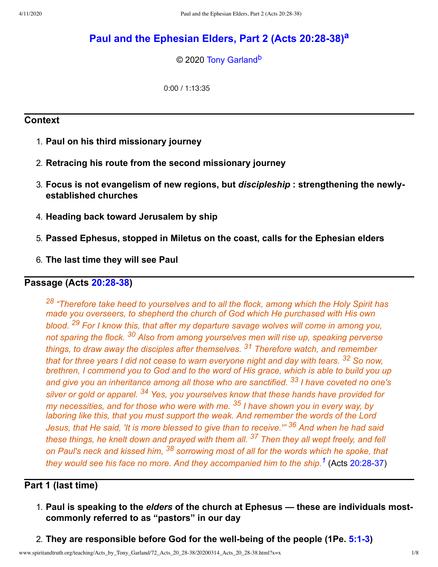# **Paul and the [Ephesian](http://www.spiritandtruth.org/teaching/Acts_by_Tony_Garland/72_Acts_20_28-38/index.htm) Elders, Part 2 (Acts 20:28-38) [a](#page-6-0)**

<span id="page-0-2"></span><span id="page-0-1"></span>© 2020 [Tony Garland](http://www.spiritandtruth.org/id/tg.htm)<sup>[b](#page-6-1)</sup>

0:00 / 1:13:35

### **Context**

- 1. **Paul on his third missionary journey**
- 2. **Retracing his route from the second missionary journey**
- 3. **Focus is not evangelism of new regions, but** *discipleship* **: strengthening the newlyestablished churches**
- 4. **Heading back toward Jerusalem by ship**
- 5. **Passed Ephesus, stopped in Miletus on the coast, calls for the Ephesian elders**
- 6. **The last time they will see Paul**

## **Passage (Acts [20:28-38\)](http://www.spiritandtruth.org/bibles/nasb/b44c020.htm#Acts_C20V28)**

<sup>28</sup> "Therefore take heed to yourselves and to all the flock, among which the Holy Spirit has *made you overseers, to shepherd the church of God which He purchased with His own blood. <sup>29</sup> For I know this, that after my departure savage wolves will come in among you, not sparing the flock. <sup>30</sup> Also from among yourselves men will rise up, speaking perverse things, to draw away the disciples after themselves. <sup>31</sup> Therefore watch, and remember that for three years I did not cease to warn everyone night and day with tears. <sup>32</sup> So now, brethren, I commend you to God and to the word of His grace, which is able to build you up and give you an inheritance among all those who are sanctified. <sup>33</sup> I have coveted no one's silver or gold or apparel. <sup>34</sup> Yes, you yourselves know that these hands have provided for my necessities, and for those who were with me. <sup>35</sup> I have shown you in every way, by laboring like this, that you must support the weak. And remember the words of the Lord Jesus, that He said, 'It is more blessed to give than to receive.'" <sup>36</sup> And when he had said these things, he knelt down and prayed with them all. <sup>37</sup> Then they all wept freely, and fell on Paul's neck and kissed him, <sup>38</sup> sorrowing most of all for the words which he spoke, that they would see his face no more. And they accompanied him to the ship.[1](#page-6-2)* (Acts [20:28-37\)](http://www.spiritandtruth.org/bibles/nasb/b44c020.htm#Acts_C20V28)

# **Part 1 (last time)**

- <span id="page-0-0"></span>1. **Paul is speaking to the** *elders* **of the church at Ephesus — these are individuals mostcommonly referred to as "pastors" in our day**
- 2. **They are responsible before God for the well-being of the people (1Pe. [5:1-3](http://www.spiritandtruth.org/bibles/nasb/b60c005.htm#1Pe._C5V1))**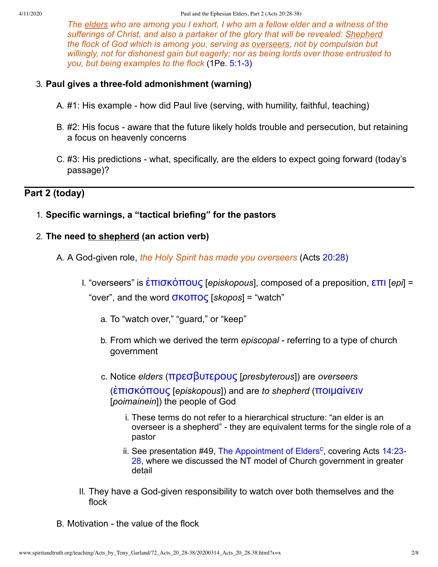*The elders who are among you I exhort, I who am a fellow elder and a witness of the sufferings of Christ, and also a partaker of the glory that will be revealed: Shepherd the flock of God which is among you, serving as overseers, not by compulsion but willingly, not for dishonest gain but eagerly; nor as being lords over those entrusted to you, but being examples to the flock* (1Pe. [5:1-3\)](http://www.spiritandtruth.org/bibles/nasb/b60c005.htm#1Pe._C5V1)

#### 3. **Paul gives a three-fold admonishment (warning)**

- A. #1: His example how did Paul live (serving, with humility, faithful, teaching)
- B. #2: His focus aware that the future likely holds trouble and persecution, but retaining a focus on heavenly concerns
- C. #3: His predictions what, specifically, are the elders to expect going forward (today's passage)?

### **Part 2 (today)**

1. **Specific warnings, a "tactical briefing" for the pastors**

#### 2. **The need to shepherd (an action verb)**

- A. A God-given role, *the Holy Spirit has made you overseers* (Acts [20:28\)](http://www.spiritandtruth.org/bibles/nasb/b44c020.htm#Acts_C20V28)
	- I. "overseers" is [ἐπισκόπους](http://www.spiritandtruth.org/fontsu/index.htm) [*episkopous*], composed of a preposition, [επι](http://www.spiritandtruth.org/fontsu/index.htm) [*epi*] = "over", and the word [σκοπος](http://www.spiritandtruth.org/fontsu/index.htm) [*skopos*] = "watch"
		- a. To "watch over," "guard," or "keep"
		- b. From which we derived the term *episcopal* referring to a type of church government
		- c. Notice *elders* ([πρεσβυτερους](http://www.spiritandtruth.org/fontsu/index.htm) [*presbyterous*]) are *overseers*

([ἐπισκόπους](http://www.spiritandtruth.org/fontsu/index.htm) [*episkopous*]) and are *to shepherd* ([ποιμαίνειν](http://www.spiritandtruth.org/fontsu/index.htm) [*poimainein*]) the people of God

- i. These terms do not refer to a hierarchical structure: "an elder is an overseer is a shepherd" - they are equivalent terms for the single role of a pastor
- <span id="page-1-0"></span>ii. See presentation #49, [The Appointment of Elders](http://www.spiritandtruth.org/teaching/Acts_by_Tony_Garland/49_Acts_14_23-28/index.htm)<sup>[c](#page-6-3)</sup>, covering Acts 14:23-[28, where we discussed the NT model of Church government in greater](http://www.spiritandtruth.org/bibles/nasb/b44c014.htm#Acts_C14V23) detail
- II. They have a God-given responsibility to watch over both themselves and the flock
- B. Motivation the value of the flock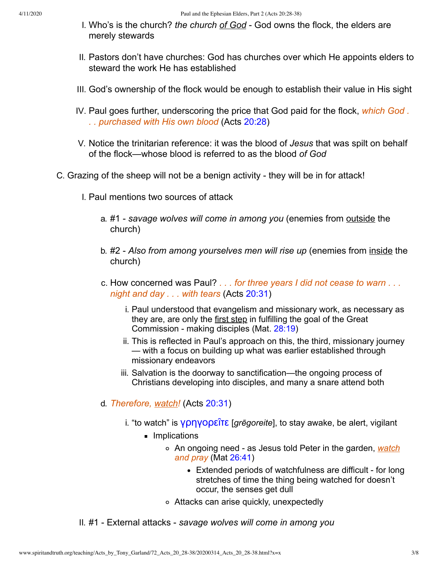- I. Who's is the church? *the church of God* God owns the flock, the elders are merely stewards
- II. Pastors don't have churches: God has churches over which He appoints elders to steward the work He has established
- III. God's ownership of the flock would be enough to establish their value in His sight
- IV. Paul goes further, underscoring the price that God paid for the flock, *which God . . . purchased with His own blood* (Acts [20:28\)](http://www.spiritandtruth.org/bibles/nasb/b44c020.htm#Acts_C20V28)
- V. Notice the trinitarian reference: it was the blood of *Jesus* that was spilt on behalf of the flock—whose blood is referred to as the blood *of God*
- C. Grazing of the sheep will not be a benign activity they will be in for attack!
	- I. Paul mentions two sources of attack
		- a. #1 *savage wolves will come in among you* (enemies from outside the church)
		- b. #2 *Also from among yourselves men will rise up* (enemies from inside the church)
		- c. How concerned was Paul? *. . . for three years I did not cease to warn . . . night and day . . . with tears* (Acts [20:31\)](http://www.spiritandtruth.org/bibles/nasb/b44c020.htm#Acts_C20V31)
			- i. Paul understood that evangelism and missionary work, as necessary as they are, are only the first step in fulfilling the goal of the Great Commission - making disciples (Mat. [28:19](http://www.spiritandtruth.org/bibles/nasb/b40c028.htm#Mat._C28V19))
			- ii. This is reflected in Paul's approach on this, the third, missionary journey — with a focus on building up what was earlier established through missionary endeavors
			- iii. Salvation is the doorway to sanctification—the ongoing process of Christians developing into disciples, and many a snare attend both
		- d. *Therefore, watch!* (Acts [20:31](http://www.spiritandtruth.org/bibles/nasb/b44c020.htm#Acts_C20V31))
			- i. "to watch" is *γρηγορεΐτε [grēgoreite]*, to stay awake, be alert, vigilant
				- **Implications** 
					- An ongoing need as Jesus told Peter in the garden, *watch and pray* (Mat [26:41\)](http://www.spiritandtruth.org/bibles/nasb/b40c026.htm#Mat._C26V41)
						- Extended periods of watchfulness are difficult for long stretches of time the thing being watched for doesn't occur, the senses get dull
					- Attacks can arise quickly, unexpectedly

II. #1 - External attacks - *savage wolves will come in among you*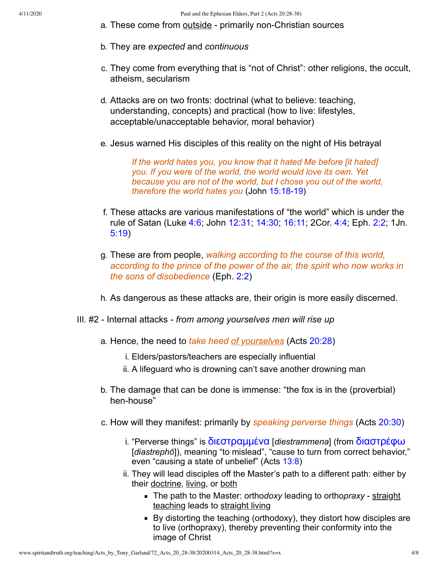- a. These come from outside primarily non-Christian sources
- b. They are *expected* and *continuous*
- c. They come from everything that is "not of Christ": other religions, the occult, atheism, secularism
- d. Attacks are on two fronts: doctrinal (what to believe: teaching, understanding, concepts) and practical (how to live: lifestyles, acceptable/unacceptable behavior, moral behavior)
- e. Jesus warned His disciples of this reality on the night of His betrayal

*If the world hates you, you know that it hated Me before [it hated] you. If you were of the world, the world would love its own. Yet because you are not of the world, but I chose you out of the world, therefore the world hates you* (John [15:18-19\)](http://www.spiritandtruth.org/bibles/nasb/b43c015.htm#John_C15V18)

- f. These attacks are various manifestations of "the world" which is under the rule of Satan (Luke [4:6;](http://www.spiritandtruth.org/bibles/nasb/b42c004.htm#Luke_C4V6) John [12:31;](http://www.spiritandtruth.org/bibles/nasb/b43c012.htm#John_C12V31) [14:30;](http://www.spiritandtruth.org/bibles/nasb/b43c014.htm#John_C14V30) [16:11](http://www.spiritandtruth.org/bibles/nasb/b43c016.htm#John_C16V11); 2Cor. [4:4](http://www.spiritandtruth.org/bibles/nasb/b47c004.htm#2Cor._C4V4); Eph. [2:2](http://www.spiritandtruth.org/bibles/nasb/b49c002.htm#Eph._C2V2); 1Jn. [5:19\)](http://www.spiritandtruth.org/bibles/nasb/b62c005.htm#1Jn._C5V19)
- g. These are from people, *walking according to the course of this world, according to the prince of the power of the air, the spirit who now works in the sons of disobedience* (Eph. [2:2\)](http://www.spiritandtruth.org/bibles/nasb/b49c002.htm#Eph._C2V2)
- h. As dangerous as these attacks are, their origin is more easily discerned.
- III. #2 Internal attacks *from among yourselves men will rise up*
	- a. Hence, the need to *take heed of yourselves* (Acts [20:28](http://www.spiritandtruth.org/bibles/nasb/b44c020.htm#Acts_C20V28))
		- i. Elders/pastors/teachers are especially influential
		- ii. A lifeguard who is drowning can't save another drowning man
	- b. The damage that can be done is immense: "the fox is in the (proverbial) hen-house"
	- c. How will they manifest: primarily by *speaking perverse things* (Acts [20:30](http://www.spiritandtruth.org/bibles/nasb/b44c020.htm#Acts_C20V30))
		- i. "Perverse things" is [διεστραμμένα](http://www.spiritandtruth.org/fontsu/index.htm) [*diestrammena*] (from [διαστρέφω](http://www.spiritandtruth.org/fontsu/index.htm) [diastrephō]), meaning "to mislead", "cause to turn from correct behavior," even "causing a state of unbelief" (Acts [13:8](http://www.spiritandtruth.org/bibles/nasb/b44c013.htm#Acts_C13V8))
		- ii. They will lead disciples off the Master's path to a different path: either by their doctrine, living, or both
			- The path to the Master: ortho*doxy* leading to ortho*praxy* straight teaching leads to straight living
			- By distorting the teaching (orthodoxy), they distort how disciples are to live (orthopraxy), thereby preventing their conformity into the image of Christ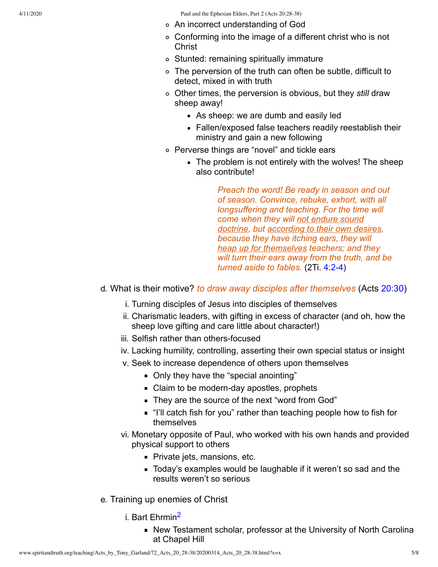4/11/2020 Paul and the Ephesian Elders, Part 2 (Acts 20:28-38)

- An incorrect understanding of God
- Conforming into the image of a different christ who is not **Christ**
- Stunted: remaining spiritually immature
- The perversion of the truth can often be subtle, difficult to detect, mixed in with truth
- Other times, the perversion is obvious, but they *still* draw sheep away!
	- As sheep: we are dumb and easily led
	- Fallen/exposed false teachers readily reestablish their ministry and gain a new following
- Perverse things are "novel" and tickle ears
	- The problem is not entirely with the wolves! The sheep also contribute!

*Preach the word! Be ready in season and out of season. Convince, rebuke, exhort, with all longsuffering and teaching. For the time will come when they will not endure sound doctrine, but according to their own desires, because they have itching ears, they will heap up for themselves teachers; and they will turn their ears away from the truth, and be turned aside to fables.* (2Ti. [4:2-4](http://www.spiritandtruth.org/bibles/nasb/b55c004.htm#2Ti._C4V2))

- d. What is their motive? *to draw away disciples after themselves* (Acts [20:30\)](http://www.spiritandtruth.org/bibles/nasb/b44c020.htm#Acts_C20V30)
	- i. Turning disciples of Jesus into disciples of themselves
	- ii. Charismatic leaders, with gifting in excess of character (and oh, how the sheep love gifting and care little about character!)
	- iii. Selfish rather than others-focused
	- iv. Lacking humility, controlling, asserting their own special status or insight
	- v. Seek to increase dependence of others upon themselves
		- Only they have the "special anointing"
		- Claim to be modern-day apostles, prophets
		- They are the source of the next "word from God"
		- "I'll catch fish for you" rather than teaching people how to fish for themselves
	- vi. Monetary opposite of Paul, who worked with his own hands and provided physical support to others
		- Private jets, mansions, etc.
		- Today's examples would be laughable if it weren't so sad and the results weren't so serious
- <span id="page-4-0"></span>e. Training up enemies of Christ
	- i. Bart Ehrmin<sup>[2](#page-6-4)</sup>
		- New Testament scholar, professor at the University of North Carolina at Chapel Hill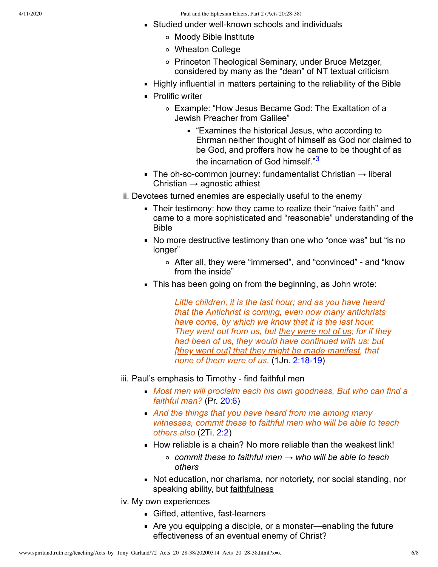4/11/2020 Paul and the Ephesian Elders, Part 2 (Acts 20:28-38)

- **Studied under well-known schools and individuals** 
	- Moody Bible Institute
	- Wheaton College
	- o Princeton Theological Seminary, under Bruce Metzger, considered by many as the "dean" of NT textual criticism
- Highly influential in matters pertaining to the reliability of the Bible
- **Prolific writer** 
	- Example: "How Jesus Became God: The Exaltation of a Jewish Preacher from Galilee"
		- "Examines the historical Jesus, who according to Ehrman neither thought of himself as God nor claimed to be God, and proffers how he came to be thought of as the incarnation of God himself."<sup>[3](#page-6-5)</sup>
- <span id="page-5-0"></span>The oh-so-common journey: fundamentalist Christian  $\rightarrow$  liberal Christian  $\rightarrow$  agnostic athiest
- ii. Devotees turned enemies are especially useful to the enemy
	- **Their testimony: how they came to realize their "naive faith" and** came to a more sophisticated and "reasonable" understanding of the Bible
	- No more destructive testimony than one who "once was" but "is no longer"
		- After all, they were "immersed", and "convinced" and "know from the inside"
	- This has been going on from the beginning, as John wrote:

*Little children, it is the last hour; and as you have heard that the Antichrist is coming, even now many antichrists have come, by which we know that it is the last hour. They went out from us, but they were not of us; for if they had been of us, they would have continued with us; but [they went out] that they might be made manifest, that none of them were of us.* (1Jn. [2:18-19\)](http://www.spiritandtruth.org/bibles/nasb/b62c002.htm#1Jn._C2V18)

- iii. Paul's emphasis to Timothy find faithful men
	- *Most men will proclaim each his own goodness, But who can find a faithful man?* (Pr. [20:6\)](http://www.spiritandtruth.org/bibles/nasb/b20c020.htm#Pr._C20V6)
	- *And the things that you have heard from me among many witnesses, commit these to faithful men who will be able to teach others also* (2Ti. [2:2\)](http://www.spiritandtruth.org/bibles/nasb/b55c002.htm#2Ti._C2V2)
	- $\blacksquare$  How reliable is a chain? No more reliable than the weakest link!
		- *commit these to faithful men* → *who will be able to teach others*
	- Not education, nor charisma, nor notoriety, nor social standing, nor speaking ability, but faithfulness
- iv. My own experiences
	- Gifted, attentive, fast-learners
	- Are you equipping a disciple, or a monster—enabling the future effectiveness of an eventual enemy of Christ?